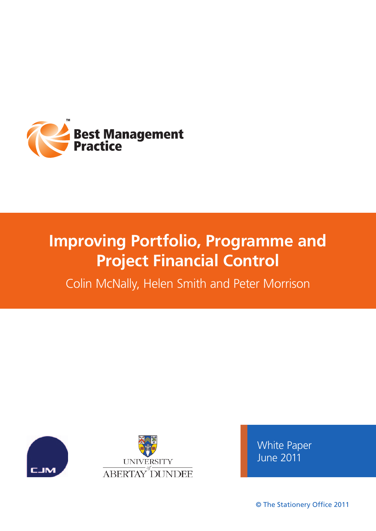

# **Improving Portfolio, Programme and Project Financial Control**

Colin McNally, Helen Smith and Peter Morrison





White Paper June 2011

© The Stationery Office 2011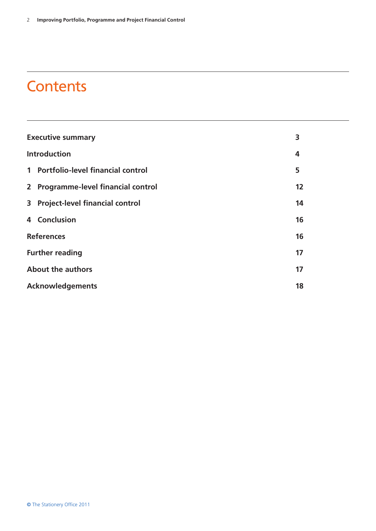# **Contents**

| <b>Executive summary</b><br>3 |                                     |    |
|-------------------------------|-------------------------------------|----|
|                               | <b>Introduction</b>                 |    |
|                               | 1 Portfolio-level financial control | 5  |
|                               | 2 Programme-level financial control | 12 |
|                               | 3 Project-level financial control   | 14 |
|                               | 4 Conclusion                        | 16 |
| <b>References</b>             |                                     | 16 |
| <b>Further reading</b>        |                                     | 17 |
| <b>About the authors</b>      |                                     | 17 |
|                               | <b>Acknowledgements</b>             |    |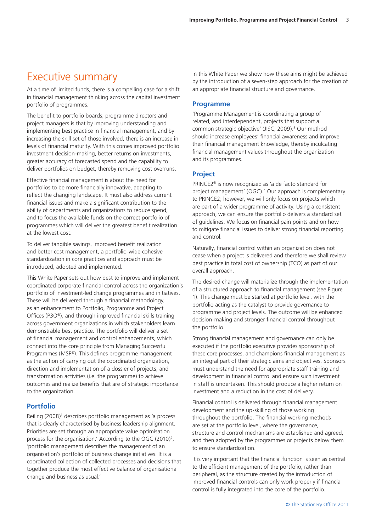# Executive summary

At a time of limited funds, there is a compelling case for a shift in financial management thinking across the capital investment portfolio of programmes.

The benefit to portfolio boards, programme directors and project managers is that by improving understanding and implementing best practice in financial management, and by increasing the skill set of those involved, there is an increase in levels of financial maturity. With this comes improved portfolio investment decision-making, better returns on investments, greater accuracy of forecasted spend and the capability to deliver portfolios on budget, thereby removing cost overruns.

Effective financial management is about the need for portfolios to be more financially innovative, adapting to reflect the changing landscape. It must also address current financial issues and make a significant contribution to the ability of departments and organizations to reduce spend, and to focus the available funds on the correct portfolio of programmes which will deliver the greatest benefit realization at the lowest cost.

To deliver tangible savings, improved benefit realization and better cost management, a portfolio-wide cohesive standardization in core practices and approach must be introduced, adopted and implemented.

This White Paper sets out how best to improve and implement coordinated corporate financial control across the organization's portfolio of investment-led change programmes and initiatives. These will be delivered through a financial methodology, as an enhancement to Portfolio, Programme and Project Offices (P3O®), and through improved financial skills training across government organizations in which stakeholders learn demonstrable best practice. The portfolio will deliver a set of financial management and control enhancements, which connect into the core principle from Managing Successful Programmes (MSP®). This defines programme management as the action of carrying out the coordinated organization, direction and implementation of a dossier of projects, and transformation activities (i.e. the programme) to achieve outcomes and realize benefits that are of strategic importance to the organization.

### **Portfolio**

Reiling (2008)<sup>1</sup> describes portfolio management as 'a process that is clearly characterised by business leadership alignment. Priorities are set through an appropriate value optimisation process for the organisation.' According to the OGC (2010)<sup>2</sup>, 'portfolio management describes the management of an organisation's portfolio of business change initiatives. It is a coordinated collection of collected processes and decisions that together produce the most effective balance of organisational change and business as usual.'

In this White Paper we show how these aims might be achieved by the introduction of a seven-step approach for the creation of an appropriate financial structure and governance.

### **Programme**

'Programme Management is coordinating a group of related, and interdependent, projects that support a common strategic objective' (JISC, 2009).<sup>3</sup> Our method should increase employees' financial awareness and improve their financial management knowledge, thereby inculcating financial management values throughout the organization and its programmes.

## **Project**

PRINCE2® is now recognized as 'a de facto standard for project management' (OGC).4 Our approach is complementary to PRINCE2; however, we will only focus on projects which are part of a wider programme of activity. Using a consistent approach, we can ensure the portfolio delivers a standard set of guidelines. We focus on financial pain points and on how to mitigate financial issues to deliver strong financial reporting and control.

Naturally, financial control within an organization does not cease when a project is delivered and therefore we shall review best practice in total cost of ownership (TCO) as part of our overall approach.

The desired change will materialize through the implementation of a structured approach to financial management (see Figure 1). This change must be started at portfolio level, with the portfolio acting as the catalyst to provide governance to programme and project levels. The outcome will be enhanced decision-making and stronger financial control throughout the portfolio.

Strong financial management and governance can only be executed if the portfolio executive provides sponsorship of these core processes, and champions financial management as an integral part of their strategic aims and objectives. Sponsors must understand the need for appropriate staff training and development in financial control and ensure such investment in staff is undertaken. This should produce a higher return on investment and a reduction in the cost of delivery.

Financial control is delivered through financial management development and the up-skilling of those working throughout the portfolio. The financial working methods are set at the portfolio level, where the governance, structure and control mechanisms are established and agreed, and then adopted by the programmes or projects below them to ensure standardization.

It is very important that the financial function is seen as central to the efficient management of the portfolio, rather than peripheral, as the structure created by the introduction of improved financial controls can only work properly if financial control is fully integrated into the core of the portfolio.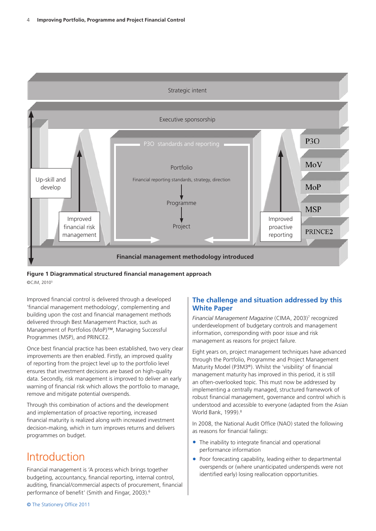

**Figure 1 Diagrammatical structured financial management approach** ©CJM, 20105

Improved financial control is delivered through a developed 'financial management methodology', complementing and building upon the cost and financial management methods delivered through Best Management Practice, such as Management of Portfolios (MoP)™, Managing Successful Programmes (MSP), and PRINCE2.

Once best financial practice has been established, two very clear improvements are then enabled. Firstly, an improved quality of reporting from the project level up to the portfolio level ensures that investment decisions are based on high-quality data. Secondly, risk management is improved to deliver an early warning of financial risk which allows the portfolio to manage, remove and mitigate potential overspends.

Through this combination of actions and the development and implementation of proactive reporting, increased financial maturity is realized along with increased investment decision-making, which in turn improves returns and delivers programmes on budget.

# **Introduction**

Financial management is 'A process which brings together budgeting, accountancy, financial reporting, internal control, auditing, financial/commercial aspects of procurement, financial performance of benefit' (Smith and Fingar, 2003).<sup>6</sup>

# **The challenge and situation addressed by this White Paper**

*Financial Management Magazine* (CIMA, 2003)7 recognized underdevelopment of budgetary controls and management information, corresponding with poor issue and risk management as reasons for project failure.

Eight years on, project management techniques have advanced through the Portfolio, Programme and Project Management Maturity Model (P3M3®). Whilst the 'visibility' of financial management maturity has improved in this period, it is still an often-overlooked topic. This must now be addressed by implementing a centrally managed, structured framework of robust financial management, governance and control which is understood and accessible to everyone (adapted from the Asian World Bank, 1999).<sup>8</sup>

In 2008, the National Audit Office (NAO) stated the following as reasons for financial failings:

- The inability to integrate financial and operational performance information
- Poor forecasting capability, leading either to departmental overspends or (where unanticipated underspends were not identified early) losing reallocation opportunities.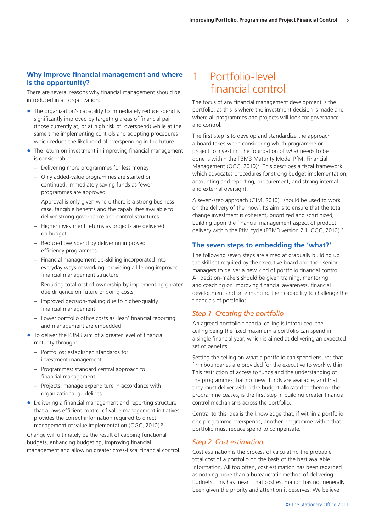# **Why improve financial management and where is the opportunity?**

There are several reasons why financial management should be introduced in an organization:

- The organization's capability to immediately reduce spend is significantly improved by targeting areas of financial pain (those currently at, or at high risk of, overspend) while at the same time implementing controls and adopting procedures which reduce the likelihood of overspending in the future.
- The return on investment in improving financial management is considerable:
	- Delivering more programmes for less money
	- Only added-value programmes are started or continued, immediately saving funds as fewer programmes are approved
	- Approval is only given where there is a strong business case, tangible benefits and the capabilities available to deliver strong governance and control structures
	- Higher investment returns as projects are delivered on budget
	- Reduced overspend by delivering improved efficiency programmes
	- Financial management up-skilling incorporated into everyday ways of working, providing a lifelong improved financial management structure
	- Reducing total cost of ownership by implementing greater due diligence on future ongoing costs
	- Improved decision-making due to higher-quality financial management
	- Lower portfolio office costs as 'lean' financial reporting and management are embedded.
- To deliver the P3M3 aim of a greater level of financial maturity through:
	- Portfolios: established standards for investment management
	- Programmes: standard central approach to financial management
	- Projects: manage expenditure in accordance with organizational guidelines.
- Delivering a financial management and reporting structure that allows efficient control of value management initiatives provides the correct information required to direct management of value implementation (OGC, 2010).9

Change will ultimately be the result of capping functional budgets, enhancing budgeting, improving financial management and allowing greater cross-fiscal financial control.

# 1 Portfolio-level financial control

The focus of any financial management development is the portfolio, as this is where the investment decision is made and where all programmes and projects will look for governance and control.

The first step is to develop and standardize the approach a board takes when considering which programme or project to invest in. The foundation of *what* needs to be done is within the P3M3 Maturity Model PfM: Financial Management (OGC, 2010)<sup>2</sup>. This describes a fiscal framework which advocates procedures for strong budget implementation, accounting and reporting, procurement, and strong internal and external oversight.

A seven-step approach (CJM, 2010)<sup>5</sup> should be used to work on the delivery of the 'how'. Its aim is to ensure that the total change investment is coherent, prioritized and scrutinized, building upon the financial management aspect of product delivery within the PfM cycle (P3M3 version 2.1, OGC, 2010).<sup>2</sup>

# **The seven steps to embedding the 'what?'**

The following seven steps are aimed at gradually building up the skill set required by the executive board and their senior managers to deliver a new kind of portfolio financial control. All decision-makers should be given training, mentoring and coaching on improving financial awareness, financial development and on enhancing their capability to challenge the financials of portfolios.

# *Step 1 Creating the portfolio*

An agreed portfolio financial ceiling is introduced, the ceiling being the fixed maximum a portfolio can spend in a single financial year, which is aimed at delivering an expected set of benefits.

Setting the ceiling on what a portfolio can spend ensures that firm boundaries are provided for the executive to work within. This restriction of access to funds and the understanding of the programmes that no 'new' funds are available, and that they must deliver within the budget allocated to them or the programme ceases, is the first step in building greater financial control mechanisms across the portfolio.

Central to this idea is the knowledge that, if within a portfolio one programme overspends, another programme within that portfolio must reduce spend to compensate.

# *Step 2 Cost estimation*

Cost estimation is the process of calculating the probable total cost of a portfolio on the basis of the best available information. All too often, cost estimation has been regarded as nothing more than a bureaucratic method of delivering budgets. This has meant that cost estimation has not generally been given the priority and attention it deserves. We believe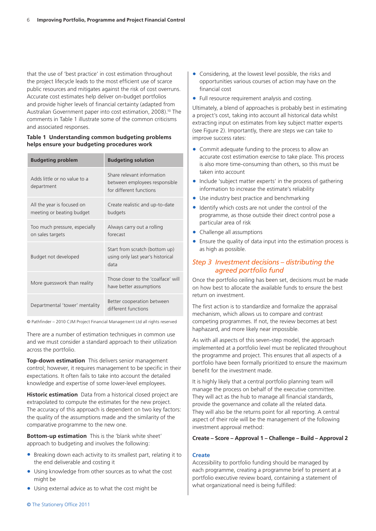that the use of 'best practice' in cost estimation throughout the project lifecycle leads to the most efficient use of scarce public resources and mitigates against the risk of cost overruns. Accurate cost estimates help deliver on-budget portfolios and provide higher levels of financial certainty (adapted from Australian Government paper into cost estimation, 2008).<sup>10</sup> The comments in Table 1 illustrate some of the common criticisms and associated responses.

#### **Table 1 Understanding common budgeting problems helps ensure your budgeting procedures work**

| <b>Budgeting problem</b>                                | <b>Budgeting solution</b>                                                              |
|---------------------------------------------------------|----------------------------------------------------------------------------------------|
| Adds little or no value to a<br>department              | Share relevant information<br>between employees responsible<br>for different functions |
| All the year is focused on<br>meeting or beating budget | Create realistic and up-to-date<br>budgets                                             |
| Too much pressure, especially<br>on sales targets       | Always carry out a rolling<br>forecast                                                 |
| Budget not developed                                    | Start from scratch (bottom up)<br>using only last year's historical<br>data            |
| More guesswork than reality                             | Those closer to the 'coalface' will<br>have better assumptions                         |
| Departmental 'tower' mentality                          | Better cooperation between<br>different functions                                      |

© Pathfinder – 2010 CJM Project Financial Management Ltd all rights reserved

There are a number of estimation techniques in common use and we must consider a standard approach to their utilization across the portfolio.

**Top-down estimation** This delivers senior management control; however, it requires management to be specific in their expectations. It often fails to take into account the detailed knowledge and expertise of some lower-level employees.

**Historic estimation** Data from a historical closed project are extrapolated to compute the estimates for the new project. The accuracy of this approach is dependent on two key factors: the quality of the assumptions made and the similarity of the comparative programme to the new one.

**Bottom-up estimation** This is the 'blank white sheet' approach to budgeting and involves the following:

- Breaking down each activity to its smallest part, relating it to the end deliverable and costing it
- Using knowledge from other sources as to what the cost might be
- Using external advice as to what the cost might be
- Considering, at the lowest level possible, the risks and opportunities various courses of action may have on the financial cost
- Full resource requirement analysis and costing.

Ultimately, a blend of approaches is probably best in estimating a project's cost, taking into account all historical data whilst extracting input on estimates from key subject matter experts (see Figure 2). Importantly, there are steps we can take to improve success rates:

- Commit adequate funding to the process to allow an accurate cost estimation exercise to take place. This process is also more time-consuming than others, so this must be taken into account
- Include 'subject matter experts' in the process of gathering information to increase the estimate's reliability
- Use industry best practice and benchmarking
- Identify which costs are not under the control of the programme, as those outside their direct control pose a particular area of risk
- Challenge all assumptions
- Ensure the quality of data input into the estimation process is as high as possible.

### *Step 3 Investment decisions – distributing the agreed portfolio fund*

Once the portfolio ceiling has been set, decisions must be made on how best to allocate the available funds to ensure the best return on investment.

The first action is to standardize and formalize the appraisal mechanism, which allows us to compare and contrast competing programmes. If not, the review becomes at best haphazard, and more likely near impossible.

As with all aspects of this seven-step model, the approach implemented at a portfolio level must be replicated throughout the programme and project. This ensures that all aspects of a portfolio have been formally prioritized to ensure the maximum benefit for the investment made.

It is highly likely that a central portfolio planning team will manage the process on behalf of the executive committee. They will act as the hub to manage all financial standards, provide the governance and collate all the related data. They will also be the returns point for all reporting. A central aspect of their role will be the management of the following investment approval method:

#### **Create – Score – Approval 1 – Challenge – Build – Approval 2**

#### **Create**

Accessibility to portfolio funding should be managed by each programme, creating a programme brief to present at a portfolio executive review board, containing a statement of what organizational need is being fulfilled: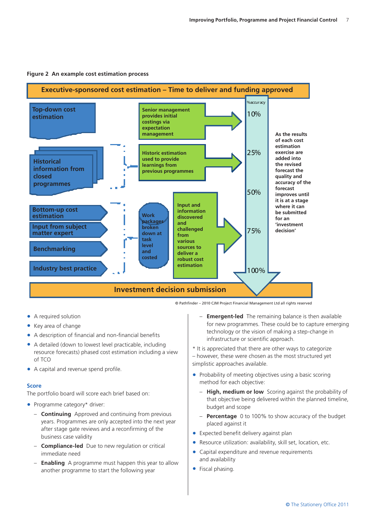

#### **Figure 2 An example cost estimation process**

• A required solution

- Key area of change
- A description of financial and non-financial benefits
- A detailed (down to lowest level practicable, including resource forecasts) phased cost estimation including a view of TCO
- A capital and revenue spend profile.

#### **Score**

The portfolio board will score each brief based on:

- Programme category\* driver:
	- **Continuing** Approved and continuing from previous years. Programmes are only accepted into the next year after stage gate reviews and a reconfirming of the business case validity
	- **Compliance-led** Due to new regulation or critical immediate need
	- **Enabling** A programme must happen this year to allow another programme to start the following year
- **Emergent-led** The remaining balance is then available for new programmes. These could be to capture emerging technology or the vision of making a step-change in infrastructure or scientific approach.
- \* It is appreciated that there are other ways to categorize – however, these were chosen as the most structured yet simplistic approaches available.
- Probability of meeting objectives using a basic scoring method for each objective:
	- **High, medium or low** Scoring against the probability of that objective being delivered within the planned timeline, budget and scope
	- **Percentage** 0 to 100% to show accuracy of the budget placed against it
- Expected benefit delivery against plan
- Resource utilization: availability, skill set, location, etc.
- Capital expenditure and revenue requirements and availability
- Fiscal phasing.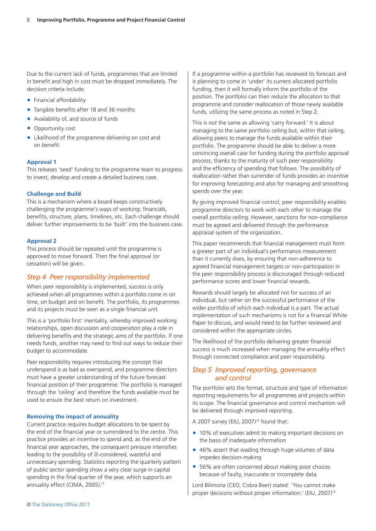Due to the current lack of funds, programmes that are limited in benefit and high in cost must be dropped immediately. The decision criteria include:

- Financial affordability
- Tangible benefits after 18 and 36 months
- Availability of, and source of funds
- Opportunity cost
- Likelihood of the programme delivering on cost and on benefit.

#### **Approval 1**

This releases 'seed' funding to the programme team to progress to invest, develop and create a detailed business case.

#### **Challenge and Build**

This is a mechanism where a board keeps constructively challenging the programme's ways of working: financials, benefits, structure, plans, timelines, etc. Each challenge should deliver further improvements to be 'built' into the business case.

#### **Approval 2**

This process should be repeated until the programme is approved to move forward. Then the final approval (or cessation) will be given.

### *Step 4 Peer responsibility implemented*

When peer responsibility is implemented, success is only achieved when *all* programmes within a portfolio come in on time, on budget and on benefit. The portfolio, its programmes and its projects must be seen as a single financial unit.

This is a 'portfolio first' mentality, whereby improved working relationships, open discussion and cooperation play a role in delivering benefits and the strategic aims of the portfolio. If one needs funds, another may need to find out ways to reduce their budget to accommodate.

Peer responsibility requires introducing the concept that underspend is as bad as overspend, and programme directors must have a greater understanding of the future forecast financial position of their programme. The portfolio is managed through the 'ceiling' and therefore the funds available must be used to ensure the best return on investment.

#### **Removing the impact of annuality**

Current practice requires budget allocations to be spent by the end of the financial year or surrendered to the centre. This practice provides an incentive to spend and, as the end of the financial year approaches, the consequent pressure intensifies leading to the possibility of ill-considered, wasteful and unnecessary spending. Statistics reporting the quarterly pattern of public sector spending show a very clear surge in capital spending in the final quarter of the year, which supports an annuality effect (CIMA, 2005).<sup>11</sup>

If a programme within a portfolio has reviewed its forecast and is planning to come in 'under' its current allocated portfolio funding, then it will formally inform the portfolio of the position. The portfolio can then reduce the allocation to that programme and consider reallocation of those newly available funds, utilizing the same process as noted in Step 2.

This is *not* the same as allowing 'carry forward.' It is about managing to the same portfolio ceiling but, within that ceiling, allowing peers to manage the funds available within their portfolio. The programme should be able to deliver a more convincing overall case for funding during the portfolio approval process, thanks to the maturity of such peer responsibility and the efficiency of spending that follows. The possibility of reallocation rather than surrender of funds provides an incentive for improving forecasting and also for managing and smoothing spends over the year.

By giving improved financial control, peer responsibility enables programme directors to work with each other to manage the overall portfolio ceiling. However, sanctions for non-compliance must be agreed and delivered through the performance appraisal system of the organization.

This paper recommends that financial management must form a greater part of an individual's performance measurement than it currently does, by ensuring that non-adherence to agreed financial management targets or non-participation in the peer responsibility process is discouraged through reduced performance scores and lower financial rewards.

Rewards should largely be allocated not for success of an individual, but rather on the successful performance of the wider portfolio of which each individual is a part. The actual implementation of such mechanisms is not for a financial White Paper to discuss, and would need to be further reviewed and considered within the appropriate circles.

The likelihood of the portfolio delivering greater financial success is much increased when managing the annuality effect through connected compliance and peer responsibility.

# *Step 5 Improved reporting, governance and control*

The portfolio sets the format, structure and type of information reporting requirements for all programmes and projects within its scope. The financial governance and control mechanism will be delivered through improved reporting.

A 2007 survey (EIU, 2007) $12$  found that:

- 10% of executives admit to making important decisions on the basis of inadequate information
- 46% assert that wading through huge volumes of data impedes decision-making
- 56% are often concerned about making poor choices because of faulty, inaccurate or incomplete data.

Lord Bilimoria (CEO, Cobra Beer) stated: 'You cannot make proper decisions without proper information.' (EIU, 2007)<sup>12</sup>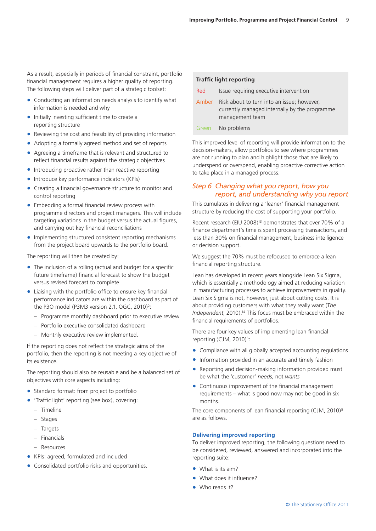As a result, especially in periods of financial constraint, portfolio financial management requires a higher quality of reporting. The following steps will deliver part of a strategic toolset:

- Conducting an information needs analysis to identify what information is needed and why
- Initially investing sufficient time to create a reporting structure
- Reviewing the cost and feasibility of providing information
- Adopting a formally agreed method and set of reports
- Agreeing a timeframe that is relevant and structured to reflect financial results against the strategic objectives
- Introducing proactive rather than reactive reporting
- Introduce key performance indicators (KPIs)
- Creating a financial governance structure to monitor and control reporting
- Embedding a formal financial review process with programme directors and project managers. This will include targeting variations in the budget versus the actual figures, and carrying out key financial reconciliations
- Implementing structured consistent reporting mechanisms from the project board upwards to the portfolio board.

The reporting will then be created by:

- $\bullet$  The inclusion of a rolling (actual and budget for a specific future timeframe) financial forecast to show the budget versus revised forecast to complete
- Liaising with the portfolio office to ensure key financial performance indicators are within the dashboard as part of the P3O model (P3M3 version 2.1, OGC, 2010)<sup>2</sup>:
	- Programme monthly dashboard prior to executive review
	- Portfolio executive consolidated dashboard
	- Monthly executive review implemented.

If the reporting does not reflect the strategic aims of the portfolio, then the reporting is not meeting a key objective of its existence.

The reporting should also be reusable and be a balanced set of objectives with core aspects including:

- Standard format: from project to portfolio
- 'Traffic light' reporting (see box), covering:
	- Timeline
	- Stages
	- Targets
	- Financials
	- Resources
- • KPIs: agreed, formulated and included
- Consolidated portfolio risks and opportunities.

#### **Traffic light reporting**

| <b>Red</b> | Issue requiring executive intervention                                                                         |
|------------|----------------------------------------------------------------------------------------------------------------|
| Amber      | Risk about to turn into an issue; however,<br>currently managed internally by the programme<br>management team |
| Green      | No problems                                                                                                    |

This improved level of reporting will provide information to the decision-makers, allow portfolios to see where programmes are not running to plan and highlight those that are likely to underspend or overspend, enabling proactive corrective action to take place in a managed process.

# *Step 6 Changing what you report, how you report, and understanding why you report*

This cumulates in delivering a 'leaner' financial management structure by reducing the cost of supporting your portfolio.

Recent research (EIU 2008)<sup>13</sup> demonstrates that over 70% of a finance department's time is spent processing transactions, and less than 30% on financial management, business intelligence or decision support.

We suggest the 70% must be refocused to embrace a lean financial reporting structure.

Lean has developed in recent years alongside Lean Six Sigma, which is essentially a methodology aimed at reducing variation in manufacturing processes to achieve improvements in quality. Lean Six Sigma is not, however, just about cutting costs. It is about providing customers with what they really want (*The Independent*, 2010).14 This focus must be embraced within the financial requirements of portfolios.

There are four key values of implementing lean financial reporting  $(CJM, 2010)^5$ :

- Compliance with all globally accepted accounting regulations
- Information provided in an accurate and timely fashion
- Reporting and decision-making information provided must be what the 'customer' *needs*, not *wants*
- Continuous improvement of the financial management requirements – what is good now may not be good in six months.

The core components of lean financial reporting (CJM, 2010)<sup>5</sup> are as follows.

#### **Delivering improved reporting**

To deliver improved reporting, the following questions need to be considered, reviewed, answered and incorporated into the reporting suite:

- What is its aim?
- What does it influence?
- Who reads it?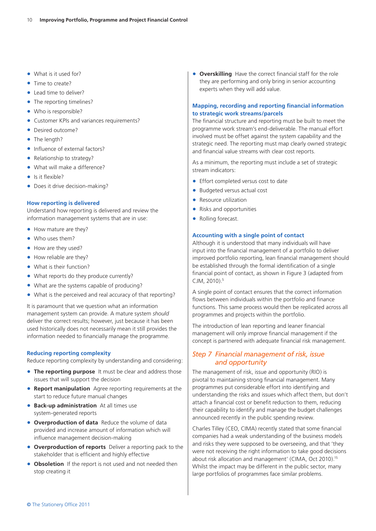- What is it used for?
- Time to create?
- Lead time to deliver?
- The reporting timelines?
- Who is responsible?
- Customer KPIs and variances requirements?
- Desired outcome?
- The length?
- Influence of external factors?
- Relationship to strategy?
- What will make a difference?
- Is it flexible?
- Does it drive decision-making?

#### **How reporting is delivered**

Understand how reporting is delivered and review the information management systems that are in use:

- How mature are they?
- Who uses them?
- How are they used?
- How reliable are they?
- What is their function?
- What reports do they produce currently?
- What are the systems capable of producing?
- What is the perceived and real accuracy of that reporting?

It is paramount that we question what an information management system can provide. A mature system *should* deliver the correct results; however, just because it has been used historically does not necessarily mean it still provides the information needed to financially manage the programme.

#### **Reducing reporting complexity**

Reduce reporting complexity by understanding and considering:

- **The reporting purpose** It must be clear and address those issues that will support the decision
- **Report manipulation** Agree reporting requirements at the start to reduce future manual changes
- **Back-up administration** At all times use system-generated reports
- **Overproduction of data** Reduce the volume of data provided and increase amount of information which will influence management decision-making
- **Overproduction of reports** Deliver a reporting pack to the stakeholder that is efficient and highly effective
- **Obsoletion** If the report is not used and not needed then stop creating it

**• Overskilling** Have the correct financial staff for the role they are performing and only bring in senior accounting experts when they will add value.

#### **Mapping, recording and reporting financial information to strategic work streams/parcels**

The financial structure and reporting must be built to meet the programme work stream's end-deliverable. The manual effort involved must be offset against the system capability and the strategic need. The reporting must map clearly owned strategic and financial value streams with clear cost reports.

As a minimum, the reporting must include a set of strategic stream indicators:

- Effort completed versus cost to date
- Budgeted versus actual cost
- Resource utilization
- Risks and opportunities
- Rolling forecast.

#### **Accounting with a single point of contact**

Although it is understood that many individuals will have input into the financial management of a portfolio to deliver improved portfolio reporting, lean financial management should be established through the formal identification of a single financial point of contact, as shown in Figure 3 (adapted from CJM, 2010).5

A single point of contact ensures that the correct information flows between individuals within the portfolio and finance functions. This same process would then be replicated across all programmes and projects within the portfolio.

The introduction of lean reporting and leaner financial management will only improve financial management if the concept is partnered with adequate financial risk management.

### *Step 7 Financial management of risk, issue and opportunity*

The management of risk, issue and opportunity (RIO) is pivotal to maintaining strong financial management. Many programmes put considerable effort into identifying and understanding the risks and issues which affect them, but don't attach a financial cost or benefit reduction to them, reducing their capability to identify and manage the budget challenges announced recently in the public spending review.

Charles Tilley (CEO, CIMA) recently stated that some financial companies had a weak understanding of the business models and risks they were supposed to be overseeing, and that 'they were not receiving the right information to take good decisions about risk allocation and management' (CIMA, Oct 2010).15 Whilst the impact may be different in the public sector, many large portfolios of programmes face similar problems.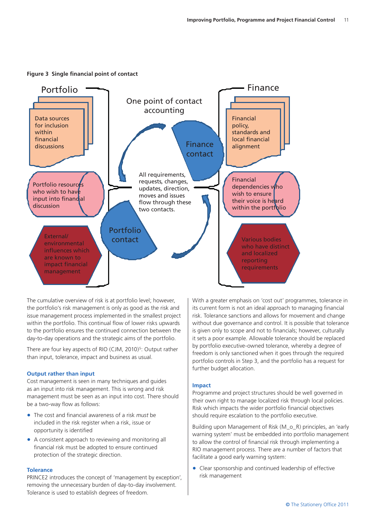

**Figure 3 Single financial point of contact**

The cumulative overview of risk is at portfolio level; however, the portfolio's risk management is only as good as the risk and issue management process implemented in the smallest project within the portfolio. This continual flow of lower risks upwards to the portfolio ensures the continued connection between the day-to-day operations and the strategic aims of the portfolio.

There are four key aspects of RIO (CJM, 2010)<sup>5</sup>: Output rather than input, tolerance, impact and business as usual.

#### **Output rather than input**

Cost management is seen in many techniques and guides as an input into risk management. This is wrong and risk management must be seen as an input into cost. There should be a two-way flow as follows:

- • The cost and financial awareness of a risk *must* be included in the risk register when a risk, issue or opportunity is identified
- A consistent approach to reviewing and monitoring all financial risk must be adopted to ensure continued protection of the strategic direction.

#### **Tolerance**

PRINCE2 introduces the concept of 'management by exception', removing the unnecessary burden of day-to-day involvement. Tolerance is used to establish degrees of freedom.

With a greater emphasis on 'cost out' programmes, tolerance in its current form is not an ideal approach to managing financial risk. Tolerance sanctions and allows for movement and change without due governance and control. It is possible that tolerance is given only to scope and not to financials; however, culturally it sets a poor example. Allowable tolerance should be replaced by portfolio executive-owned tolerance, whereby a degree of freedom is only sanctioned when it goes through the required portfolio controls in Step 3, and the portfolio has a request for further budget allocation.

#### **Impact**

Programme and project structures should be well governed in their own right to manage localized risk through local policies. Risk which impacts the wider portfolio financial objectives should require escalation to the portfolio executive.

Building upon Management of Risk (M\_o\_R) principles, an 'early warning system' must be embedded into portfolio management to allow the control of financial risk through implementing a RIO management process. There are a number of factors that facilitate a good early warning system:

• Clear sponsorship and continued leadership of effective risk management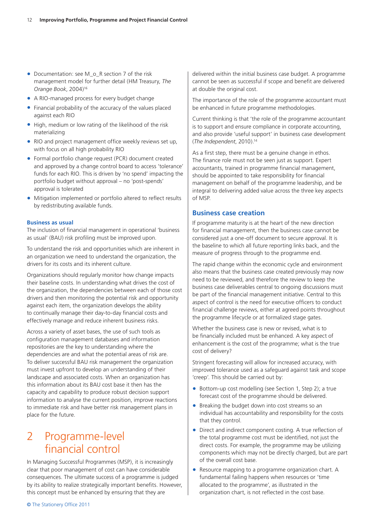- Documentation: see M\_o\_R section 7 of the risk management model for further detail (HM Treasury, *The Orange Book*, 2004)16
- A RIO-managed process for every budget change
- $\bullet$  Financial probability of the accuracy of the values placed against each RIO
- High, medium or low rating of the likelihood of the risk materializing
- RIO and project management office weekly reviews set up, with focus on all high probability RIO
- Formal portfolio change request (PCR) document created and approved by a change control board to access 'tolerance' funds for each RIO. This is driven by 'no spend' impacting the portfolio budget without approval – no 'post-spends' approval is tolerated
- Mitigation implemented or portfolio altered to reflect results by redistributing available funds.

#### **Business as usual**

The inclusion of financial management in operational 'business as usual' (BAU) risk profiling must be improved upon.

To understand the risk and opportunities which are inherent in an organization we need to understand the organization, the drivers for its costs and its inherent culture.

Organizations should regularly monitor how change impacts their baseline costs. In understanding what drives the cost of the organization, the dependencies between each of those cost drivers and then monitoring the potential risk and opportunity against each item, the organization develops the ability to continually manage their day-to-day financial costs and effectively manage and reduce inherent business risks.

Across a variety of asset bases, the use of such tools as configuration management databases and information repositories are the key to understanding where the dependencies are and what the potential areas of risk are. To deliver successful BAU risk management the organization must invest upfront to develop an understanding of their landscape and associated costs. When an organization has this information about its BAU cost base it then has the capacity and capability to produce robust decision support information to analyse the current position, improve reactions to immediate risk and have better risk management plans in place for the future.

# 2 Programme-level financial control

In Managing Successful Programmes (MSP), it is increasingly clear that poor management of cost can have considerable consequences. The ultimate success of a programme is judged by its ability to realize strategically important benefits. However, this concept must be enhanced by ensuring that they are

delivered within the initial business case budget. A programme cannot be seen as successful if scope and benefit are delivered at double the original cost.

The importance of the role of the programme accountant must be enhanced in future programme methodologies.

Current thinking is that 'the role of the programme accountant is to support and ensure compliance in corporate accounting, and also provide 'useful support' in business case development (*The Independent*, 2010).14

As a first step, there must be a genuine change in ethos. The finance role must not be seen just as support. Expert accountants, trained in programme financial management, should be appointed to take responsibility for financial management on behalf of the programme leadership, and be integral to delivering added value across the three key aspects of MSP.

#### **Business case creation**

If programme maturity is at the heart of the new direction for financial management, then the business case cannot be considered just a one-off document to secure approval. It is the baseline to which all future reporting links back, and the measure of progress through to the programme end.

The rapid change within the economic cycle and environment also means that the business case created previously may now need to be reviewed, and therefore the review to keep the business case deliverables central to ongoing discussions must be part of the financial management initiative. Central to this aspect of control is the need for executive officers to conduct financial challenge reviews, either at agreed points throughout the programme lifecycle or at formalized stage gates.

Whether the business case is new or revised, what is to be financially included must be enhanced. A key aspect of enhancement is the cost of the programme; what is the true cost of delivery?

Stringent forecasting will allow for increased accuracy, with improved tolerance used as a safeguard against task and scope 'creep'. This should be carried out by:

- Bottom-up cost modelling (see Section 1, Step 2); a true forecast cost of the programme should be delivered.
- Breaking the budget down into cost streams so an individual has accountability and responsibility for the costs that they control.
- Direct and indirect component costing. A true reflection of the total programme cost must be identified, not just the direct costs. For example, the programme may be utilizing components which may not be directly charged, but are part of the overall cost base.
- Resource mapping to a programme organization chart. A fundamental failing happens when resources or 'time allocated to the programme', as illustrated in the organization chart, is not reflected in the cost base.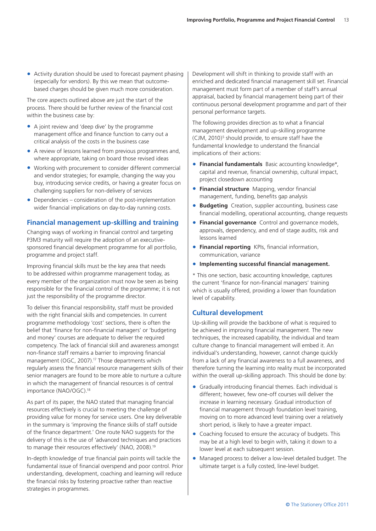• Activity duration should be used to forecast payment phasing (especially for vendors). By this we mean that outcomebased charges should be given much more consideration.

The core aspects outlined above are just the start of the process. There should be further review of the financial cost within the business case by:

- A joint review and 'deep dive' by the programme management office and finance function to carry out a critical analysis of the costs in the business case
- A review of lessons learned from previous programmes and, where appropriate, taking on board those revised ideas
- Working with procurement to consider different commercial and vendor strategies; for example, changing the way you buy, introducing service credits, or having a greater focus on challenging suppliers for non-delivery of services
- $\bullet$  Dependencies consideration of the post-implementation wider financial implications on day-to-day running costs.

### **Financial management up-skilling and training**

Changing ways of working in financial control and targeting P3M3 maturity will require the adoption of an executivesponsored financial development programme for all portfolio, programme and project staff.

Improving financial skills must be the key area that needs to be addressed within programme management today, as every member of the organization must now be seen as being responsible for the financial control of the programme; it is not just the responsibility of the programme director.

To deliver this financial responsibility, staff must be provided with the right financial skills and competencies. In current programme methodology 'cost' sections, there is often the belief that 'finance for non-financial managers' or 'budgeting and money' courses are adequate to deliver the required competency. The lack of financial skill and awareness amongst non-finance staff remains a barrier to improving financial management (OGC, 2007).17 Those departments which regularly assess the financial resource management skills of their senior managers are found to be more able to nurture a culture in which the management of financial resources is of central importance (NAO/OGC).18

As part of its paper, the NAO stated that managing financial resources effectively is crucial to meeting the challenge of providing value for money for service users. One key deliverable in the summary is 'improving the finance skills of staff outside of the finance department.' One route NAO suggests for the delivery of this is the use of 'advanced techniques and practices to manage their resources effectively' (NAO, 2008).19

In-depth knowledge of true financial pain points will tackle the fundamental issue of financial overspend and poor control. Prior understanding, development, coaching and learning will reduce the financial risks by fostering proactive rather than reactive strategies in programmes.

Development will shift in thinking to provide staff with an enriched and dedicated financial management skill set. Financial management must form part of a member of staff's annual appraisal, backed by financial management being part of their continuous personal development programme and part of their personal performance targets.

The following provides direction as to what a financial management development and up-skilling programme (CJM, 2010)<sup>5</sup> should provide, to ensure staff have the fundamental knowledge to understand the financial implications of their actions:

- **Financial fundamentals** Basic accounting knowledge\*, capital and revenue, financial ownership, cultural impact, project closedown accounting
- **Financial structure** Mapping, vendor financial management, funding, benefits gap analysis
- **Budgeting** Creation, supplier accounting, business case financial modelling, operational accounting, change requests
- **Financial governance** Control and governance models, approvals, dependency, and end of stage audits, risk and lessons learned
- **Financial reporting** KPIs, financial information, communication, variance
- • **Implementing successful financial management.**

\* This one section, basic accounting knowledge, captures the current 'finance for non-financial managers' training which is usually offered, providing a lower than foundation level of capability.

### **Cultural development**

Up-skilling will provide the backbone of what is required to be achieved in improving financial management. The new techniques, the increased capability, the individual and team culture change to financial management will embed it. An individual's understanding, however, cannot change quickly from a lack of any financial awareness to a full awareness, and therefore turning the learning into reality must be incorporated within the overall up-skilling approach. This should be done by:

- Gradually introducing financial themes. Each individual is different; however, few one-off courses will deliver the increase in learning necessary. Gradual introduction of financial management through foundation level training, moving on to more advanced level training over a relatively short period, is likely to have a greater impact.
- Coaching focused to ensure the accuracy of budgets. This may be at a high level to begin with, taking it down to a lower level at each subsequent session.
- Managed process to deliver a low-level detailed budget. The ultimate target is a fully costed, line-level budget.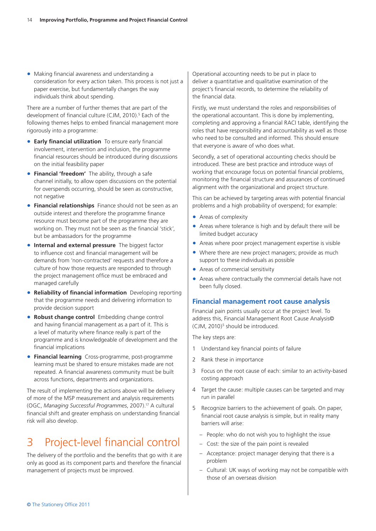• Making financial awareness and understanding a consideration for every action taken. This process is not just a paper exercise, but fundamentally changes the way individuals think about spending.

There are a number of further themes that are part of the development of financial culture (CJM, 2010).<sup>5</sup> Each of the following themes helps to embed financial management more rigorously into a programme:

- **Early financial utilization** To ensure early financial involvement, intervention and inclusion, the programme financial resources should be introduced during discussions on the initial feasibility paper
- **Financial 'freedom'** The ability, through a safe channel initially, to allow open discussions on the potential for overspends occurring, should be seen as constructive, not negative
- **Financial relationships** Finance should not be seen as an outside interest and therefore the programme finance resource must become part of the programme they are working on. They must not be seen as the financial 'stick', but be ambassadors for the programme
- **Internal and external pressure** The biggest factor to influence cost and financial management will be demands from 'non-contracted' requests and therefore a culture of how those requests are responded to through the project management office must be embraced and managed carefully
- **Reliability of financial information** Developing reporting that the programme needs and delivering information to provide decision support
- **Robust change control Embedding change control** and having financial management as a part of it. This is a level of maturity where finance really is part of the programme and is knowledgeable of development and the financial implications
- • **Financial learning** Cross-programme, post-programme learning must be shared to ensure mistakes made are not repeated. A financial awareness community must be built across functions, departments and organizations.

The result of implementing the actions above will be delivery of more of the MSP measurement and analysis requirements (OGC, *Managing Successful Programmes*, 2007).17 A cultural financial shift and greater emphasis on understanding financial risk will also develop.

# 3 Project-level financial control

The delivery of the portfolio and the benefits that go with it are only as good as its component parts and therefore the financial management of projects must be improved.

Operational accounting needs to be put in place to deliver a quantitative and qualitative examination of the project's financial records, to determine the reliability of the financial data.

Firstly, we must understand the roles and responsibilities of the operational accountant. This is done by implementing, completing and approving a financial RACI table, identifying the roles that have responsibility and accountability as well as those who need to be consulted and informed. This should ensure that everyone is aware of who does what.

Secondly, a set of operational accounting checks should be introduced. These are best practice and introduce ways of working that encourage focus on potential financial problems, monitoring the financial structure and assurances of continued alignment with the organizational and project structure.

This can be achieved by targeting areas with potential financial problems and a high probability of overspend; for example:

- Areas of complexity
- Areas where tolerance is high and by default there will be limited budget accuracy
- Areas where poor project management expertise is visible
- Where there are new project managers; provide as much support to these individuals as possible
- Areas of commercial sensitivity
- Areas where contractually the commercial details have not been fully closed.

### **Financial management root cause analysis**

Financial pain points usually occur at the project level. To address this, Financial Management Root Cause Analysis© (CJM, 2010)<sup>5</sup> should be introduced.

The key steps are:

- 1 Understand key financial points of failure
- 2 Rank these in importance
- 3 Focus on the root cause of each: similar to an activity-based costing approach
- 4 Target the cause: multiple causes can be targeted and may run in parallel
- 5 Recognize barriers to the achievement of goals. On paper, financial root cause analysis is simple, but in reality many barriers will arise:
	- People: who do not wish you to highlight the issue
	- Cost: the size of the pain point is revealed
	- Acceptance: project manager denying that there is a problem
	- Cultural: UK ways of working may not be compatible with those of an overseas division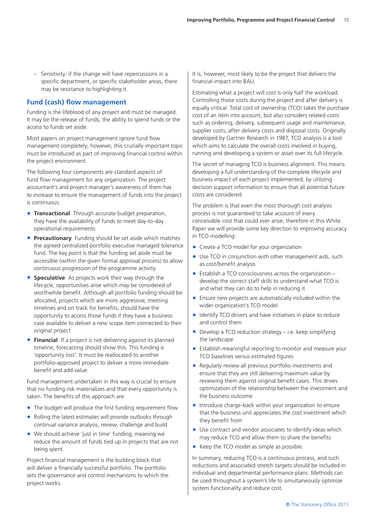– Sensitivity: if the change will have repercussions in a specific department, or specific stakeholder areas, there may be resistance to highlighting it.

## **Fund (cash) flow management**

Funding is the lifeblood of any project and must be managed. It may be the release of funds, the ability to spend funds or the access to funds set aside.

Most papers on project management ignore fund flow management completely; however, this crucially important topic must be introduced as part of improving financial control within the project environment.

The following four components are standard aspects of fund flow management for any organization. The project accountant's and project manager's awareness of them has to increase to ensure the management of funds into the project is continuous:

- **Transactional** Through accurate budget preparation, they have the availability of funds to meet day-to-day operational requirements
- **Precautionary** Funding should be set aside which matches the agreed centralized portfolio executive managed tolerance fund. The key point is that the funding set aside must be accessible (within the given formal approval process) to allow continuous progression of the programme activity
- **Speculative** As projects work their way through the lifecycle, opportunities arise which may be considered of worthwhile benefit. Although all portfolio funding should be allocated, projects which are more aggressive, meeting timelines and on track for benefits, should have the opportunity to access those funds if they have a business case available to deliver a new scope item connected to their original project
- **Financial** If a project is not delivering against its planned timeline, forecasting should show this. This funding is 'opportunity lost'. It must be reallocated to another portfolio-approved project to deliver a more immediate benefit and add value.

Fund management undertaken in this way is crucial to ensure that no funding risk materializes and that every opportunity is taken. The benefits of this approach are:

- The budget will produce the first funding requirement flow
- Rolling the latest estimates will provide outlooks through continual variance analysis, review, challenge and build
- We should achieve 'just in time' funding, meaning we reduce the amount of funds tied up in projects that are not being spent.

Project financial management is the building block that will deliver a financially successful portfolio. The portfolio sets the governance and control mechanisms to which the project works.

It is, however, most likely to be the project that delivers the financial impact into BAU.

Estimating what a project will cost is only half the workload. Controlling those costs during the project and after delivery is equally critical. Total cost of ownership (TCO) takes the purchase cost of an item into account, but also considers related costs such as ordering, delivery, subsequent usage and maintenance, supplier costs, after delivery costs and disposal costs. Originally developed by Gartner Research in 1987, TCO analysis is a tool which aims to calculate the overall costs involved in buying, running and developing a system or asset over its full lifecycle.

The secret of managing TCO is business alignment. This means developing a full understanding of the complete lifecycle and business impact of each project implemented, by utilizing decision support information to ensure that all potential future costs are considered.

The problem is that even the most thorough cost analysis process is not guaranteed to take account of every conceivable cost that could ever arise; therefore in this White Paper we will provide some key direction to improving accuracy in TCO modelling:

- Create a TCO model for your organization
- Use TCO in conjunction with other management aids, such as cost/benefit analysis
- $\bullet$  Establish a TCO consciousness across the organization develop the correct staff skills to understand what TCO is and what they can do to help in reducing it
- Ensure new projects are automatically included within the wider organization's TCO model
- Identify TCO drivers and have initiatives in place to reduce and control them
- Develop a TCO reduction strategy  $-$  i.e. keep simplifying the landscape
- Establish meaningful reporting to monitor and measure your TCO baselines versus estimated figures
- Regularly review all previous portfolio investments and ensure that they are still delivering maximum value by reviewing them against original benefit cases. This drives optimization of the relationship between the investment and the business outcome
- Introduce charge-back within your organization to ensure that the business unit appreciates the cost investment which they benefit from
- Use contract and vendor associates to identify ideas which may reduce TCO and allow them to share the benefits
- Keep the TCO model as simple as possible.

In summary, reducing TCO is a continuous process, and such reductions and associated stretch targets should be included in individual and departmental performance plans. Methods can be used throughout a system's life to simultaneously optimize system functionality and reduce cost.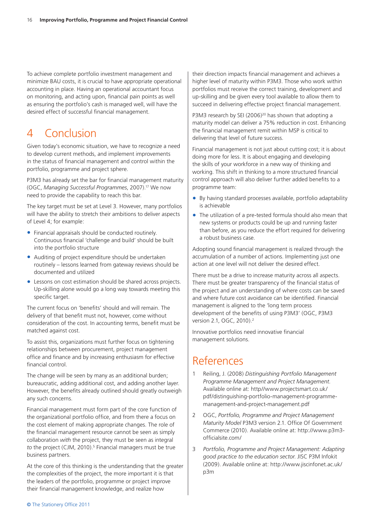To achieve complete portfolio investment management and minimize BAU costs, it is crucial to have appropriate operational accounting in place. Having an operational accountant focus on monitoring, and acting upon, financial pain points as well as ensuring the portfolio's cash is managed well, will have the desired effect of successful financial management.

# 4 Conclusion

Given today's economic situation, we have to recognize a need to develop current methods, and implement improvements in the status of financial management and control within the portfolio, programme and project sphere.

P3M3 has already set the bar for financial management maturity (OGC, *Managing Successful Programmes*, 2007).17 We now need to provide the capability to reach this bar.

The key target must be set at Level 3. However, many portfolios will have the ability to stretch their ambitions to deliver aspects of Level 4; for example:

- Financial appraisals should be conducted routinely. Continuous financial 'challenge and build' should be built into the portfolio structure
- Auditing of project expenditure should be undertaken routinely – lessons learned from gateway reviews should be documented and utilized
- Lessons on cost estimation should be shared across projects. Up-skilling alone would go a long way towards meeting this specific target.

The current focus on 'benefits' should and will remain. The delivery of that benefit must not, however, come without consideration of the cost. In accounting terms, benefit must be matched against cost.

To assist this, organizations must further focus on tightening relationships between procurement, project management office and finance and by increasing enthusiasm for effective financial control.

The change will be seen by many as an additional burden; bureaucratic, adding additional cost, and adding another layer. However, the benefits already outlined should greatly outweigh any such concerns.

Financial management must form part of the core function of the organizational portfolio office, and from there a focus on the cost element of making appropriate changes. The role of the financial management resource cannot be seen as simply collaboration *with* the project, they must be seen as integral to the project (CJM, 2010).<sup>5</sup> Financial managers must be true business partners.

At the core of this thinking is the understanding that the greater the complexities of the project, the more important it is that the leaders of the portfolio, programme or project improve their financial management knowledge, and realize how

their direction impacts financial management and achieves a higher level of maturity within P3M3. Those who work within portfolios must receive the correct training, development and up-skilling and be given every tool available to allow them to succeed in delivering effective project financial management.

P3M3 research by SEI (2006)<sup>20</sup> has shown that adopting a maturity model can deliver a 75% reduction in cost. Enhancing the financial management remit within MSP is critical to delivering that level of future success.

Financial management is not just about cutting cost; it is about doing more for less. It is about engaging and developing the skills of your workforce in a new way of thinking and working. This shift in thinking to a more structured financial control approach will also deliver further added benefits to a programme team:

- By having standard processes available, portfolio adaptability is achievable
- The utilization of a pre-tested formula should also mean that new systems or products could be up and running faster than before, as you reduce the effort required for delivering a robust business case.

Adopting sound financial management is realized through the accumulation of a number of actions. Implementing just one action at one level will not deliver the desired effect.

There must be a drive to increase maturity across all aspects. There must be greater transparency of the financial status of the project and an understanding of where costs can be saved and where future cost avoidance can be identified. Financial management is aligned to the 'long term process development of the benefits of using P3M3' (OGC, P3M3 version 2.1, OGC, 2010).<sup>2</sup>

Innovative portfolios need innovative financial management solutions.

# References

- 1 Reiling, J. (2008) *Distinguishing Portfolio Management Programme Management and Project Management*. Available online at: http//www.projectsmart.co.uk/ pdf/distinguishing-portfolio-management-programmemanagement-and-project-management.pdf
- 2 OGC, *Portfolio, Programme and Project Management Maturity Model* P3M3 version 2.1. Office Of Government Commerce (2010). Available online at: http://www.p3m3 officialsite.com/
- 3 *Portfolio, Programme and Project Management: Adapting good practice to the education sector*. JISC P3M Infokit (2009). Available online at: http://www.jiscinfonet.ac.uk/ p3m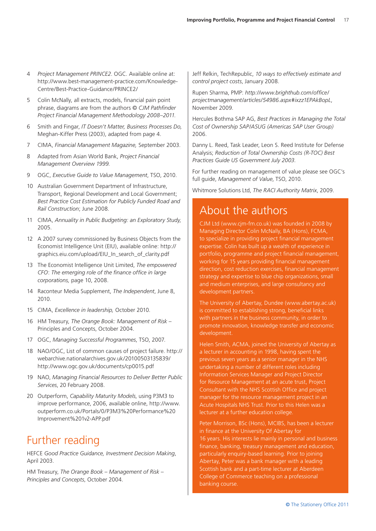- 4 *Project Management PRINCE2*. OGC. Available online at: http://www.best-management-practice.com/Knowledge-Centre/Best-Practice-Guidance/PRINCE2/
- 5 Colin McNally, all extracts, models, financial pain point phrase, diagrams are from the authors © *CJM Pathfinder Project Financial Management Methodology 2008–2011*.
- 6 Smith and Fingar, *IT Doesn't Matter, Business Processes Do,*  Meghan-Kiffer Press (2003), adapted from page 4.
- 7 CIMA, *Financial Management Magazine,* September 2003.
- 8 Adapted from Asian World Bank, *Project Financial Management Overview 1999.*
- 9 OGC, *Executive Guide to Value Management*, TSO, 2010.
- 10 Australian Government Department of Infrastructure, Transport, Regional Development and Local Government; *Best Practice Cost Estimation for Publicly Funded Road and Rail Construction*; June 2008.
- 11 CIMA, *Annuality in Public Budgeting: an Exploratory Study,*  2005.
- 12 A 2007 survey commissioned by Business Objects from the Economist Intelligence Unit (EIU), available online: http:// graphics.eiu.com/upload/EIU\_In\_search\_of\_clarity.pdf
- 13 The Economist Intelligence Unit Limited, *The empowered CFO*: *The emerging role of the finance office in large corporations,* page 10, 2008.
- 14 Raconteur Media Supplement, *The Independent*, June 8, 2010.
- 15 CIMA, *Excellence in leadership,* October 2010.
- 16 HM Treasury, *The Orange Book: Management of Risk*  Principles and Concepts, October 2004.
- 17 OGC, *Managing Successful Programmes*, TSO, 2007.
- 18 NAO/OGC, List of common causes of project failure. http:// webarchive.nationalarchives.gov.uk/20100503135839/ http://www.ogc.gov.uk/documents/cp0015.pdf
- 19 NAO, *Managing Financial Resources to Deliver Better Public Services*, 20 February 2008.
- 20 Outperform, *Capability Maturity Models*, using P3M3 to improve performance, 2006, available online, http://www. outperform.co.uk/Portals/0/P3M3%20Performance%20 Improvement%201v2-APP.pdf

# Further reading

HEFCE *Good Practice Guidance, Investment Decision Making*, April 2003.

HM Treasury, *The Orange Book – Management of Risk – Principles and Concepts*, October 2004.

Jeff Relkin, TechRepublic, *10 ways to effectively estimate and control project costs*, January 2008.

Rupen Sharma, PMP: *http://www.brighthub.com/office/ projectmanagement/articles/54986.aspx#ixzz1EPAkBopL*, November 2009.

Hercules Bothma SAP AG, *Best Practices in Managing the Total Cost of Ownership SAP/ASUG (Americas SAP User Group)* 2006.

Danny L. Reed, Task Leader, Leon S. Reed Institute for Defense Analysis; *Reduction of Total Ownership Costs (R-TOC) Best Practices Guide US Government July 2003*.

For further reading on management of value please see OGC's full guide, *Management of Value*, TSO, 2010.

Whitmore Solutions Ltd, *The RACI Authority Matrix*, 2009.

# About the authors

CJM Ltd (www.cjm-fm.co.uk) was founded in 2008 by Managing Director Colin McNally, BA (Hons), FCMA, to specialize in providing project financial management expertise. Colin has built up a wealth of experience in portfolio, programme and project financial management, working for 15 years providing financial management direction, cost reduction exercises, financial management strategy and expertise to blue chip organizations, small and medium enterprises, and large consultancy and development partners.

The University of Abertay, Dundee (www.abertay.ac.uk) is committed to establishing strong, beneficial links with partners in the business community, in order to promote innovation, knowledge transfer and economic development.

Helen Smith, ACMA, joined the University of Abertay as a lecturer in accounting in 1998, having spent the previous seven years as a senior manager in the NHS undertaking a number of different roles including Information Services Manager and Project Director for Resource Management at an acute trust, Project Consultant with the NHS Scottish Office and project manager for the resource management project in an Acute Hospitals NHS Trust. Prior to this Helen was a lecturer at a further education college.

Peter Morrison, BSc (Hons), MCIBS, has been a lecturer in finance at the University Of Abertay for 16 years. His interests lie mainly in personal and business finance, banking, treasury management and education, particularly enquiry-based learning. Prior to joining Abertay, Peter was a bank manager with a leading Scottish bank and a part-time lecturer at Aberdeen College of Commerce teaching on a professional banking course.